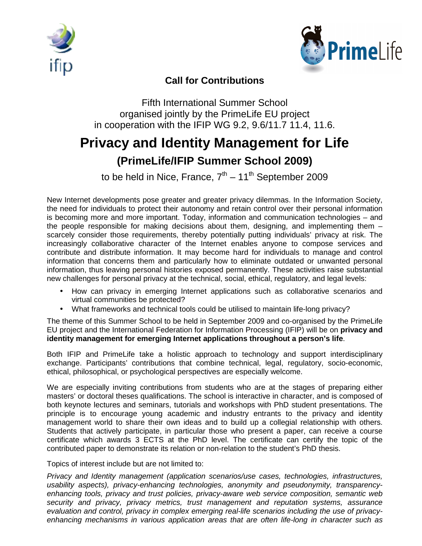



## **Call for Contributions**

Fifth International Summer School organised jointly by the PrimeLife EU project in cooperation with the IFIP WG 9.2, 9.6/11.7 11.4, 11.6.

## **Privacy and Identity Management for Life**

## **(PrimeLife/IFIP Summer School 2009)**

to be held in Nice, France,  $7<sup>th</sup> - 11<sup>th</sup>$  September 2009

New Internet developments pose greater and greater privacy dilemmas. In the Information Society, the need for individuals to protect their autonomy and retain control over their personal information is becoming more and more important. Today, information and communication technologies – and the people responsible for making decisions about them, designing, and implementing them – scarcely consider those requirements, thereby potentially putting individuals' privacy at risk. The increasingly collaborative character of the Internet enables anyone to compose services and contribute and distribute information. It may become hard for individuals to manage and control information that concerns them and particularly how to eliminate outdated or unwanted personal information, thus leaving personal histories exposed permanently. These activities raise substantial new challenges for personal privacy at the technical, social, ethical, regulatory, and legal levels:

- How can privacy in emerging Internet applications such as collaborative scenarios and virtual communities be protected?
- What frameworks and technical tools could be utilised to maintain life-long privacy?

The theme of this Summer School to be held in September 2009 and co-organised by the PrimeLife EU project and the International Federation for Information Processing (IFIP) will be on **privacy and identity management for emerging Internet applications throughout a person's life**.

Both IFIP and PrimeLife take a holistic approach to technology and support interdisciplinary exchange. Participants' contributions that combine technical, legal, regulatory, socio-economic, ethical, philosophical, or psychological perspectives are especially welcome.

We are especially inviting contributions from students who are at the stages of preparing either masters' or doctoral theses qualifications. The school is interactive in character, and is composed of both keynote lectures and seminars, tutorials and workshops with PhD student presentations. The principle is to encourage young academic and industry entrants to the privacy and identity management world to share their own ideas and to build up a collegial relationship with others. Students that actively participate, in particular those who present a paper, can receive a course certificate which awards 3 ECTS at the PhD level. The certificate can certify the topic of the contributed paper to demonstrate its relation or non-relation to the student's PhD thesis.

Topics of interest include but are not limited to:

Privacy and Identity management (application scenarios/use cases, technologies, infrastructures, usability aspects), privacy-enhancing technologies, anonymity and pseudonymity, transparencyenhancing tools, privacy and trust policies, privacy-aware web service composition, semantic web security and privacy, privacy metrics, trust management and reputation systems, assurance evaluation and control, privacy in complex emerging real-life scenarios including the use of privacyenhancing mechanisms in various application areas that are often life-long in character such as